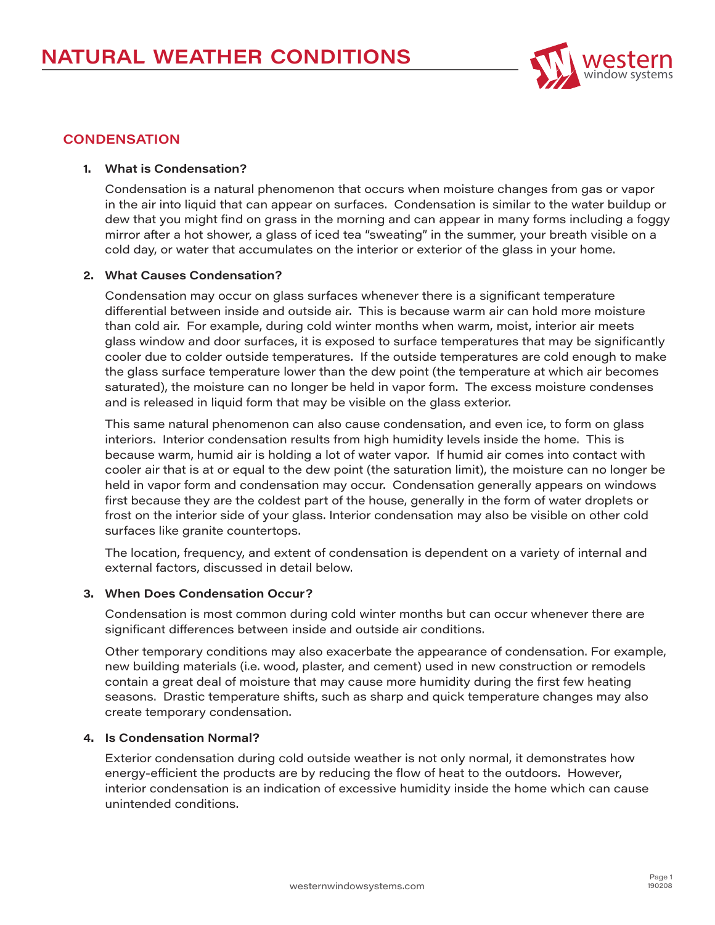

# **CONDENSATION**

### **1. What is Condensation?**

Condensation is a natural phenomenon that occurs when moisture changes from gas or vapor in the air into liquid that can appear on surfaces. Condensation is similar to the water buildup or dew that you might find on grass in the morning and can appear in many forms including a foggy mirror after a hot shower, a glass of iced tea "sweating" in the summer, your breath visible on a cold day, or water that accumulates on the interior or exterior of the glass in your home.

## **2. What Causes Condensation?**

Condensation may occur on glass surfaces whenever there is a significant temperature differential between inside and outside air. This is because warm air can hold more moisture than cold air. For example, during cold winter months when warm, moist, interior air meets glass window and door surfaces, it is exposed to surface temperatures that may be significantly cooler due to colder outside temperatures. If the outside temperatures are cold enough to make the glass surface temperature lower than the dew point (the temperature at which air becomes saturated), the moisture can no longer be held in vapor form. The excess moisture condenses and is released in liquid form that may be visible on the glass exterior.

This same natural phenomenon can also cause condensation, and even ice, to form on glass interiors. Interior condensation results from high humidity levels inside the home. This is because warm, humid air is holding a lot of water vapor. If humid air comes into contact with cooler air that is at or equal to the dew point (the saturation limit), the moisture can no longer be held in vapor form and condensation may occur. Condensation generally appears on windows first because they are the coldest part of the house, generally in the form of water droplets or frost on the interior side of your glass. Interior condensation may also be visible on other cold surfaces like granite countertops.

The location, frequency, and extent of condensation is dependent on a variety of internal and external factors, discussed in detail below.

#### **3. When Does Condensation Occur?**

Condensation is most common during cold winter months but can occur whenever there are significant differences between inside and outside air conditions.

Other temporary conditions may also exacerbate the appearance of condensation. For example, new building materials (i.e. wood, plaster, and cement) used in new construction or remodels contain a great deal of moisture that may cause more humidity during the first few heating seasons. Drastic temperature shifts, such as sharp and quick temperature changes may also create temporary condensation.

### **4. Is Condensation Normal?**

Exterior condensation during cold outside weather is not only normal, it demonstrates how energy-efficient the products are by reducing the flow of heat to the outdoors. However, interior condensation is an indication of excessive humidity inside the home which can cause unintended conditions.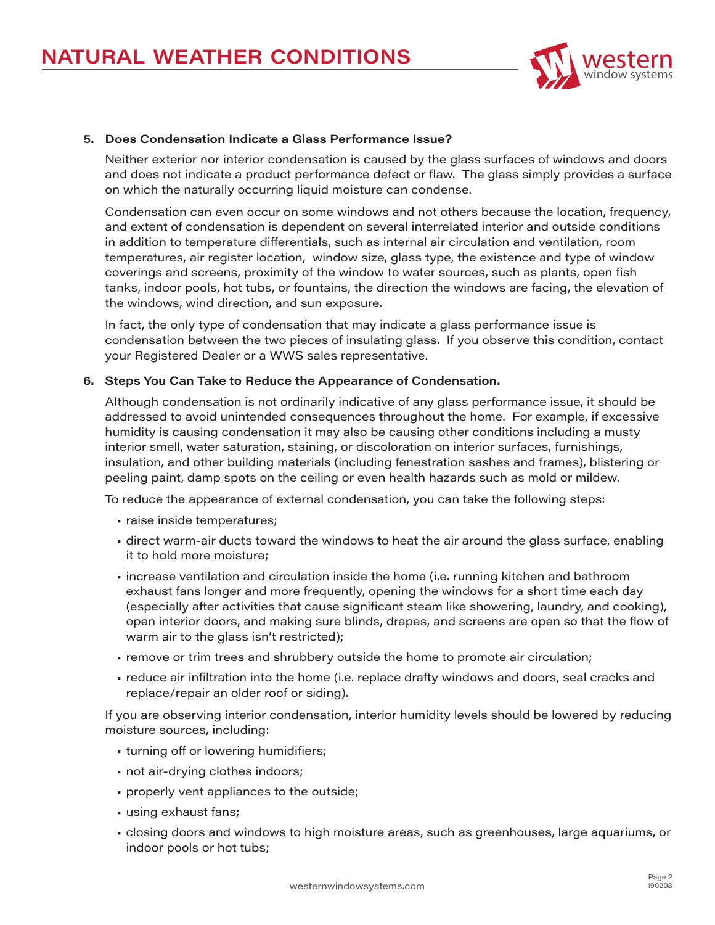

## **5. Does Condensation Indicate a Glass Performance Issue?**

Neither exterior nor interior condensation is caused by the glass surfaces of windows and doors and does not indicate a product performance defect or flaw. The glass simply provides a surface on which the naturally occurring liquid moisture can condense.

Condensation can even occur on some windows and not others because the location, frequency, and extent of condensation is dependent on several interrelated interior and outside conditions in addition to temperature differentials, such as internal air circulation and ventilation, room temperatures, air register location, window size, glass type, the existence and type of window coverings and screens, proximity of the window to water sources, such as plants, open fish tanks, indoor pools, hot tubs, or fountains, the direction the windows are facing, the elevation of the windows, wind direction, and sun exposure.

In fact, the only type of condensation that may indicate a glass performance issue is condensation between the two pieces of insulating glass. If you observe this condition, contact your Registered Dealer or a WWS sales representative.

#### **6. Steps You Can Take to Reduce the Appearance of Condensation.**

Although condensation is not ordinarily indicative of any glass performance issue, it should be addressed to avoid unintended consequences throughout the home. For example, if excessive humidity is causing condensation it may also be causing other conditions including a musty interior smell, water saturation, staining, or discoloration on interior surfaces, furnishings, insulation, and other building materials (including fenestration sashes and frames), blistering or peeling paint, damp spots on the ceiling or even health hazards such as mold or mildew.

To reduce the appearance of external condensation, you can take the following steps:

- raise inside temperatures;
- direct warm-air ducts toward the windows to heat the air around the glass surface, enabling it to hold more moisture;
- increase ventilation and circulation inside the home (i.e. running kitchen and bathroom exhaust fans longer and more frequently, opening the windows for a short time each day (especially after activities that cause significant steam like showering, laundry, and cooking), open interior doors, and making sure blinds, drapes, and screens are open so that the flow of warm air to the glass isn't restricted);
- remove or trim trees and shrubbery outside the home to promote air circulation;
- reduce air infiltration into the home (i.e. replace drafty windows and doors, seal cracks and replace/repair an older roof or siding).

If you are observing interior condensation, interior humidity levels should be lowered by reducing moisture sources, including:

- turning off or lowering humidifiers;
- not air-drying clothes indoors;
- properly vent appliances to the outside;
- using exhaust fans;
- closing doors and windows to high moisture areas, such as greenhouses, large aquariums, or indoor pools or hot tubs;